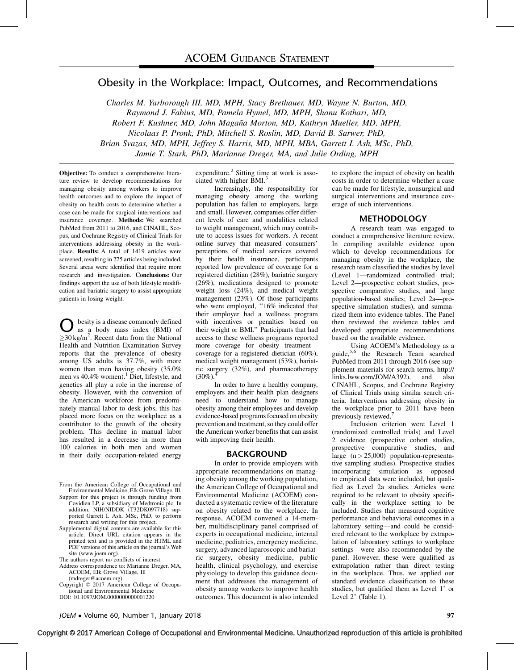# Obesity in the Workplace: Impact, Outcomes, and Recommendations

Charles M. Yarborough III, MD, MPH, Stacy Brethauer, MD, Wayne N. Burton, MD, Raymond J. Fabius, MD, Pamela Hymel, MD, MPH, Shanu Kothari, MD, Robert F. Kushner, MD, John Magaña Morton, MD, Kathryn Mueller, MD, MPH, Nicolaas P. Pronk, PhD, Mitchell S. Roslin, MD, David B. Sarwer, PhD, Brian Svazas, MD, MPH, Jeffrey S. Harris, MD, MPH, MBA, Garrett I. Ash, MSc, PhD, Jamie T. Stark, PhD, Marianne Dreger, MA, and Julie Ording, MPH

Objective: To conduct a comprehensive literature review to develop recommendations for managing obesity among workers to improve health outcomes and to explore the impact of obesity on health costs to determine whether a case can be made for surgical interventions and insurance coverage. Methods: We searched PubMed from 2011 to 2016, and CINAHL, Scopus, and Cochrane Registry of Clinical Trials for interventions addressing obesity in the workplace. Results: A total of 1419 articles were screened, resulting in 275 articles being included. Several areas were identified that require more research and investigation. Conclusions: Our findings support the use of both lifestyle modification and bariatric surgery to assist appropriate patients in losing weight.

besity is a disease commonly defined as a body mass index (BMI) of  $\geq$ 30 kg/m<sup>2</sup>. Recent data from the National Health and Nutrition Examination Survey reports that the prevalence of obesity among US adults is 37.7%, with more women than men having obesity (35.0% men vs 40.4% women).<sup>1</sup> Diet, lifestyle, and genetics all play a role in the increase of obesity. However, with the conversion of the American workforce from predominately manual labor to desk jobs, this has placed more focus on the workplace as a contributor to the growth of the obesity problem. This decline in manual labor has resulted in a decrease in more than 100 calories in both men and women in their daily occupation-related energy

- Supplemental digital contents are available for this article. Direct URL citation appears in the printed text and is provided in the HTML and PDF versions of this article on the journal's Web site ([www.joem.org](http://www.joem.org/)).
- The authors report no conflicts of interest.
- Address correspondence to: Marianne Dreger, MA, ACOEM, Elk Grove Village, Ill ([mdreger@acoem.org\)](mailto:mdreger@acoem.org).
- Copyright © 2017 American College of Occupational and Environmental Medicine DOI: 10.1097/JOM.0000000000001220

expenditure.<sup>[2](#page-8-0)</sup> Sitting time at work is asso-ciated with higher BMI.<sup>[3](#page-8-0)</sup>

Increasingly, the responsibility for managing obesity among the working population has fallen to employers, large and small. However, companies offer different levels of care and modalities related to weight management, which may contribute to access issues for workers. A recent online survey that measured consumers' perceptions of medical services covered by their health insurance, participants reported low prevalence of coverage for a registered dietitian (28%), bariatric surgery (26%), medications designed to promote weight loss (24%), and medical weight management (23%). Of those participants who were employed, ''16% indicated that their employer had a wellness program with incentives or penalties based on their weight or BMI.'' Participants that had access to these wellness programs reported more coverage for obesity treatment coverage for a registered dietician (60%), medical weight management (53%), bariatric surgery (32%), and pharmacotherapy  $(30\%)$ .

In order to have a healthy company, employers and their health plan designers need to understand how to manage obesity among their employees and develop evidence-based programs focused on obesity prevention and treatment, so they could offer the American worker benefits that can assist with improving their health.

### BACKGROUND

In order to provide employers with appropriate recommendations on managing obesity among the working population, the American College of Occupational and Environmental Medicine (ACOEM) conducted a systematic review of the literature on obesity related to the workplace. In response, ACOEM convened a 14-member, multidisciplinary panel comprised of experts in occupational medicine, internal medicine, pediatrics, emergency medicine, surgery, advanced laparoscopic and bariatric surgery, obesity medicine, public health, clinical psychology, and exercise physiology to develop this guidance document that addresses the management of obesity among workers to improve health outcomes. This document is also intended to explore the impact of obesity on health costs in order to determine whether a case can be made for lifestyle, nonsurgical and surgical interventions and insurance coverage of such interventions.

### **METHODOLOGY**

A research team was engaged to conduct a comprehensive literature review. In compiling available evidence upon which to develop recommendations for managing obesity in the workplace, the research team classified the studies by level (Level 1—randomized controlled trial; Level 2—prospective cohort studies, prospective comparative studies, and large population-based studies; Level 2a—prospective simulation studies), and summarized them into evidence tables. The Panel then reviewed the evidence tables and developed appropriate recommendations based on the available evidence.

Using ACOEM's Methodology as a guide,[5,6](#page-8-0) the Research Team searched PubMed from 2011 through 2016 (see supplement materials for search terms, [http://](http://links.lww.com/JOM/A392) [links.lww.com/JOM/A392\)](http://links.lww.com/JOM/A392), and also CINAHL, Scopus, and Cochrane Registry of Clinical Trials using similar search criteria. Interventions addressing obesity in the workplace prior to 2011 have been previously reviewed.[7](#page-8-0)

Inclusion criterion were Level 1 (randomized controlled trials) and Level 2 evidence (prospective cohort studies, prospective comparative studies, and large  $(n > 25,000)$  population-representative sampling studies). Prospective studies incorporating simulation as opposed to empirical data were included, but qualified as Level 2a studies. Articles were required to be relevant to obesity specifically in the workplace setting to be included. Studies that measured cognitive performance and behavioral outcomes in a laboratory setting—and could be considered relevant to the workplace by extrapolation of laboratory settings to workplace settings—were also recommended by the panel. However, these were qualified as extrapolation rather than direct testing in the workplace. Thus, we applied our standard evidence classification to these studies, but qualified them as Level  $1^*$  or Level  $2^*$  (Table 1).

From the American College of Occupational and Environmental Medicine, Elk Grove Village, Ill.

Support for this project is through funding from Covidien LP, a subsidiary of Medtronic plc. In addition, NIH/NIDDK (T32DK097718) supported Garrett I. Ash, MSc, PhD, to perform research and writing for this project.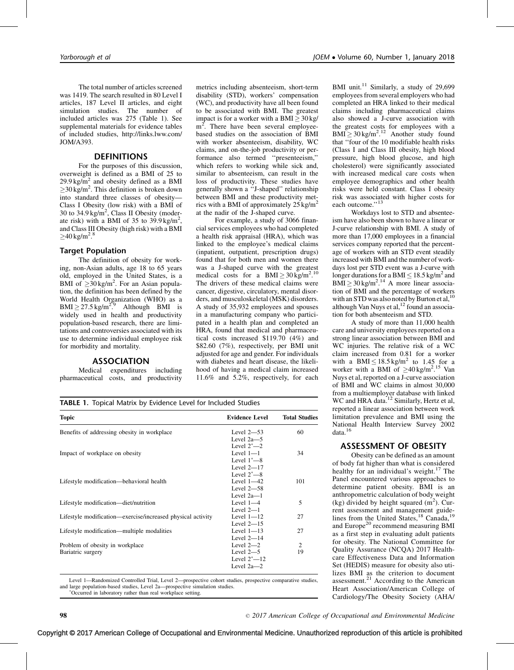The total number of articles screened was 1419. The search resulted in 80 Level I articles, 187 Level II articles, and eight simulation studies. The number of included articles was 275 (Table 1). See supplemental materials for evidence tables of included studies, [http://links.lww.com/](http://links.lww.com/JOM/A393) [JOM/A393](http://links.lww.com/JOM/A393).

## DEFINITIONS

For the purposes of this discussion, overweight is defined as a BMI of 25 to  $29.9 \text{ kg/m}^2$  and obesity defined as a BMI  $\geq$  30 kg/m<sup>2</sup>. This definition is broken down into standard three classes of obesity— Class I Obesity (low risk) with a BMI of 30 to 34.9 kg/m<sup>2</sup>, Class II Obesity (moderate risk) with a BMI of 35 to  $39.9 \text{ kg/m}^2$ , and Class III Obesity (high risk) with a BMI  $\geq$ 40 kg/m<sup>2</sup>.<sup>[8](#page-8-0)</sup>

#### Target Population

The definition of obesity for working, non-Asian adults, age 18 to 65 years old, employed in the United States, is a BMI of  $\geq 30 \text{ kg/m}^2$ . For an Asian population, the definition has been defined by the World Health Organization (WHO) as a  $\text{BMI} \geq 27.5 \,\text{kg/m}^{2.9}$  $\text{BMI} \geq 27.5 \,\text{kg/m}^{2.9}$  $\text{BMI} \geq 27.5 \,\text{kg/m}^{2.9}$  Although BMI is widely used in health and productivity population-based research, there are limitations and controversies associated with its use to determine individual employee risk for morbidity and mortality.

## ASSOCIATION

Medical expenditures including pharmaceutical costs, and productivity

metrics including absenteeism, short-term disability (STD), workers' compensation (WC), and productivity have all been found to be associated with BMI. The greatest impact is for a worker with a BMI  $\geq 30$  kg/ m<sup>2</sup>. There have been several employeebased studies on the association of BMI with worker absenteeism, disability, WC claims, and on-the-job productivity or performance also termed ''presenteeism,'' which refers to working while sick and, similar to absenteeism, can result in the loss of productivity. These studies have generally shown a ''J-shaped'' relationship between BMI and these productivity metrics with a BMI of approximately  $25 \text{ kg/m}^2$ at the nadir of the J-shaped curve.

For example, a study of 3066 financial services employees who had completed a health risk appraisal (HRA), which was linked to the employee's medical claims (inpatient, outpatient, prescription drugs) found that for both men and women there was a J-shaped curve with the greatest medical costs for a BMI $\geq 30 \text{ kg/m}^2$ .<sup>[10](#page-8-0)</sup> The drivers of these medical claims were cancer, digestive, circulatory, mental disorders, and musculoskeletal (MSK) disorders. A study of 35,932 employees and spouses in a manufacturing company who participated in a health plan and completed an HRA, found that medical and pharmaceutical costs increased \$119.70 (4%) and \$82.60 (7%), respectively, per BMI unit adjusted for age and gender. For individuals with diabetes and heart disease, the likelihood of having a medical claim increased 11.6% and 5.2%, respectively, for each

BMI unit.<sup>[11](#page-8-0)</sup> Similarly, a study of  $29,699$ employees from several employers who had completed an HRA linked to their medical claims including pharmaceutical claims also showed a J-curve association with the greatest costs for employees with a  $BMI \geq 30 \text{ kg/m}^2$ .<sup>[12](#page-8-0)</sup> Another study found that ''four of the 10 modifiable health risks (Class I and Class III obesity, high blood pressure, high blood glucose, and high cholesterol) were significantly associated with increased medical care costs when employee demographics and other health risks were held constant. Class I obesity risk was associated with higher costs for each outcome."<sup>[13](#page-8-0)</sup>

Workdays lost to STD and absenteeism have also been shown to have a linear or J-curve relationship with BMI. A study of more than 17,000 employees in a financial services company reported that the percentage of workers with an STD event steadily increased with BMI and the number of workdays lost per STD event was a J-curve with longer durations for a BMI  $\leq 18.5$  kg/m<sup>2</sup> and  $BMI \geq 30$  kg/m<sup>2</sup>.<sup>[14](#page-8-0)</sup> A more linear association of BMI and the percentage of workers with an STD was also noted by Burton et al, although Van Nuys et al,<sup>12</sup> found an association for both absenteeism and STD.

A study of more than 11,000 health care and university employees reported on a strong linear association between BMI and WC injuries. The relative risk of a WC claim increased from 0.81 for a worker with a BMI $\leq 18.5$  kg/m<sup>2</sup> to 1.45 for a worker with a BMI of  $\geq 40$  kg/m<sup>2</sup>.<sup>[15](#page-8-0)</sup> Van Nuys et al, reported on a J-curve association of BMI and WC claims in almost 30,000 from a multiemployer database with linked WC and HRA data.<sup>12</sup> Similarly, Hertz et al, reported a linear association between work limitation prevalence and BMI using the National Health Interview Survey 2002  $data.<sup>16</sup>$  $data.<sup>16</sup>$  $data.<sup>16</sup>$ 

## ASSESSMENT OF OBESITY

Obesity can be defined as an amount of body fat higher than what is considered healthy for an individual's weight. $17$  The Panel encountered various approaches to determine patient obesity. BMI is an anthropometric calculation of body weight (kg) divided by height squared  $(m^2)$ . Current assessment and management guide-lines from the United States,<sup>[18](#page-8-0)</sup> Canada,<sup>[19](#page-8-0)</sup> and Europe<sup>[20](#page-8-0)</sup> recommend measuring BMI as a first step in evaluating adult patients for obesity. The National Committee for Quality Assurance (NCQA) 2017 Healthcare Effectiveness Data and Information Set (HEDIS) measure for obesity also utilizes BMI as the criterion to document assessment. $^{21}$  $^{21}$  $^{21}$  According to the American Heart Association/American College of Cardiology/The Obesity Society (AHA/

|  |  |  |  | TABLE 1. Topical Matrix by Evidence Level for Included Studies |  |  |  |  |
|--|--|--|--|----------------------------------------------------------------|--|--|--|--|
|--|--|--|--|----------------------------------------------------------------|--|--|--|--|

| Benefits of addressing obesity in workplace                 | Level $2-53$    | 60  |  |
|-------------------------------------------------------------|-----------------|-----|--|
|                                                             | Level $2a-5$    |     |  |
|                                                             | Level $2^*$ —2  |     |  |
| Impact of workplace on obesity                              | Level $1-1$     | 34  |  |
|                                                             | Level $1^*$ —8  |     |  |
|                                                             | Level $2-17$    |     |  |
|                                                             | Level $2^*$ —8  |     |  |
| Lifestyle modification—behavioral health                    | Level $1-42$    | 101 |  |
|                                                             | Level $2-58$    |     |  |
|                                                             | Level $2a-1$    |     |  |
| Lifestyle modification—diet/nutrition                       | Level $1-4$     | 5   |  |
|                                                             | Level $2-1$     |     |  |
| Lifestyle modification—exercise/increased physical activity | Level $1-12$    | 27  |  |
|                                                             | Level $2-15$    |     |  |
| Lifestyle modification—multiple modalities                  | Level $1-13$    | 27  |  |
|                                                             | Level $2-14$    |     |  |
| Problem of obesity in workplace                             | Level $2-2$     | 2   |  |
| Bariatric surgery                                           | Level $2-5$     | 19  |  |
|                                                             | Level $2^*$ —12 |     |  |
|                                                             | Level $2a-2$    |     |  |

Level 1—Randomized Controlled Trial, Level 2—prospective cohort studies, prospective comparative studies, and large population-based studies, Level 2a—prospective simulation studies.

Occurred in laboratory rather than real workplace setting.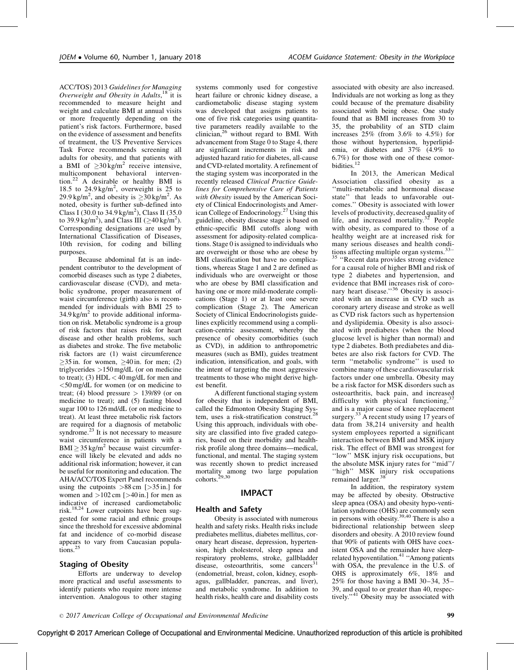ACC/TOS) 2013 Guidelines for Managing Overweight and Obesity in Adults,<sup>[18](#page-8-0)</sup> it is recommended to measure height and weight and calculate BMI at annual visits or more frequently depending on the patient's risk factors. Furthermore, based on the evidence of assessment and benefits of treatment, the US Preventive Services Task Force recommends screening all adults for obesity, and that patients with a BMI of  $\geq 30 \text{ kg/m}^2$  receive intensive, multicomponent behavioral intervention.[22](#page-8-0) A desirable or healthy BMI is 18.5 to  $24.9 \text{ kg/m}^2$ , overweight is 25 to 29.9 kg/m<sup>2</sup>, and obesity is  $\geq$ 30 kg/m<sup>2</sup>. As noted, obesity is further sub-defined into Class I (30.0 to 34.9 kg/m<sup>2</sup>), Class II (35.0 to 39.9 kg/m<sup>2</sup>), and Class III ( $\geq$ 40 kg/m<sup>2</sup>). Corresponding designations are used by International Classification of Diseases, 10th revision, for coding and billing purposes.

Because abdominal fat is an independent contributor to the development of comorbid diseases such as type 2 diabetes, cardiovascular disease (CVD), and metabolic syndrome, proper measurement of waist circumference (girth) also is recommended for individuals with BMI 25 to  $34.9 \text{ kg/m}^2$  to provide additional information on risk. Metabolic syndrome is a group of risk factors that raises risk for heart disease and other health problems, such as diabetes and stroke. The five metabolic risk factors are (1) waist circumference  $\geq$ 35 in. for women,  $\geq$ 40 in. for men; (2) triglycerides >150 mg/dL (or on medicine to treat); (3)  $HDL < 40$  mg/dL for men and <50 mg/dL for women (or on medicine to treat; (4) blood pressure  $> 139/89$  (or on medicine to treat); and (5) fasting blood sugar 100 to 126 md/dL (or on medicine to treat). At least three metabolic risk factors are required for a diagnosis of metabolic syndrome.<sup>[23](#page-8-0)</sup> It is not necessary to measure waist circumference in patients with a  $\text{BMI} \geq 35 \text{ kg/m}^2$  because waist circumference will likely be elevated and adds no additional risk information; however, it can be useful for monitoring and education. The AHA/ACC/TOS Expert Panel recommends using the cutpoints  $>88 \text{ cm}$  [ $>35 \text{ in.}$ ] for women and  $>102$  cm [ $>40$  in.] for men as indicative of increased cardiometabolic risk.[18,24](#page-8-0) Lower cutpoints have been suggested for some racial and ethnic groups since the threshold for excessive abdominal fat and incidence of co-morbid disease appears to vary from Caucasian popula-tions.<sup>[25](#page-8-0)</sup>

### Staging of Obesity

Efforts are underway to develop more practical and useful assessments to identify patients who require more intense intervention. Analogous to other staging systems commonly used for congestive heart failure or chronic kidney disease, a cardiometabolic disease staging system was developed that assigns patients to one of five risk categories using quantitative parameters readily available to the clinician,[26](#page-8-0) without regard to BMI. With advancement from Stage 0 to Stage 4, there are significant increments in risk and adjusted hazard ratio for diabetes, all-cause and CVD-related mortality. A refinement of the staging system was incorporated in the recently released Clinical Practice Guidelines for Comprehensive Care of Patients with Obesity issued by the American Society of Clinical Endocrinologists and American College of Endocrinology.[27](#page-8-0) Using this guideline, obesity disease stage is based on ethnic-specific BMI cutoffs along with assessment for adiposity-related complications. Stage 0 is assigned to individuals who are overweight or those who are obese by BMI classification but have no complications, whereas Stage 1 and 2 are defined as individuals who are overweight or those who are obese by BMI classification and having one or more mild-moderate complications (Stage 1) or at least one severe complication (Stage 2). The American Society of Clinical Endocrinologists guidelines explicitly recommend using a complication-centric assessment, whereby the presence of obesity comorbidities (such as CVD), in addition to anthropometric measures (such as BMI), guides treatment indication, intensification, and goals, with the intent of targeting the most aggressive treatments to those who might derive highest benefit.

A different functional staging system for obesity that is independent of BMI, called the Edmonton Obesity Staging System, uses a risk-stratification construct.<sup>[28](#page-8-0)</sup> Using this approach, individuals with obesity are classified into five graded categories, based on their morbidity and healthrisk profile along three domains—medical, functional, and mental. The staging system was recently shown to predict increased mortality among two large population cohorts.<sup>[29,30](#page-8-0)</sup>

## IMPACT

#### Health and Safety

Obesity is associated with numerous health and safety risks. Health risks include prediabetes mellitus, diabetes mellitus, coronary heart disease, depression, hypertension, high cholesterol, sleep apnea and respiratory problems, stroke, gallbladder disease, osteoarthritis, some cancers<sup>3</sup> (endometrial, breast, colon, kidney, esophagus, gallbladder, pancreas, and liver), and metabolic syndrome. In addition to health risks, health care and disability costs

associated with obesity are also increased. Individuals are not working as long as they could because of the premature disability associated with being obese. One study found that as BMI increases from 30 to 35, the probability of an STD claim increases 25% (from 3.6% to 4.5%) for those without hypertension, hyperlipidemia, or diabetes and 37% (4.9% to 6.7%) for those with one of these comor-bidities.<sup>[12](#page-8-0)</sup>

In 2013, the American Medical Association classified obesity as a ''multi-metabolic and hormonal disease state'' that leads to unfavorable outcomes.'' Obesity is associated with lower levels of productivity, decreased quality of life, and increased mortality.<sup>[32](#page-8-0)</sup> People with obesity, as compared to those of a healthy weight are at increased risk for many serious diseases and health conditions affecting multiple organ systems. $33-$ 

<sup>[35](#page-8-0)</sup> "Recent data provides strong evidence for a causal role of higher BMI and risk of type 2 diabetes and hypertension, and evidence that BMI increases risk of coro-nary heart disease."<sup>[36](#page-9-0)</sup> Obesity is associated with an increase in CVD such as coronary artery disease and stroke as well as CVD risk factors such as hypertension and dyslipidemia. Obesity is also associated with prediabetes (when the blood glucose level is higher than normal) and type 2 diabetes. Both prediabetes and diabetes are also risk factors for CVD. The term ''metabolic syndrome'' is used to combine many of these cardiovascular risk factors under one umbrella. Obesity may be a risk factor for MSK disorders such as osteoarthritis, back pain, and increased difficulty with physical functioning, and is a major cause of knee replacement surgery.<sup>[33](#page-8-0)</sup> A recent study using  $\hat{17}$  years of data from 38,214 university and health system employees reported a significant interaction between BMI and MSK injury risk. The effect of BMI was strongest for ''low'' MSK injury risk occupations, but the absolute MSK injury rates for ''mid''/ ''high'' MSK injury risk occupations remained larger.<sup>[38](#page-9-0)</sup>

In addition, the respiratory system may be affected by obesity. Obstructive sleep apnea (OSA) and obesity hypo-ventilation syndrome (OHS) are commonly seen in persons with obesity.[39,40](#page-9-0) There is also a bidirectional relationship between sleep disorders and obesity. A 2010 review found that 90% of patients with OHS have coexistent OSA and the remainder have sleep-related hypoventilation.<sup>[41](#page-9-0)</sup> "Among patients" with OSA, the prevalence in the U.S. of OHS is approximately 6%, 18% and 25% for those having a BMI 30–34, 35– 39, and equal to or greater than 40, respec-tively."<sup>[41](#page-9-0)</sup> Obesity may be associated with

 $\degree$  2017 American College of Occupational and Environmental Medicine  $\degree$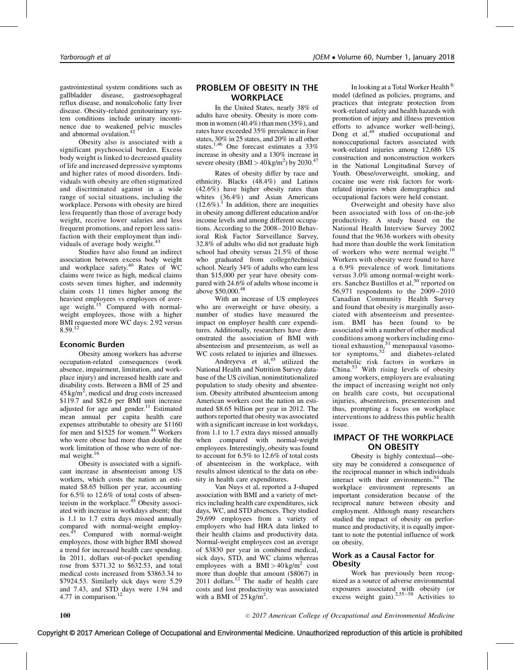gastrointestinal system conditions such as gallbladder disease, gastroesophageal reflux disease, and nonalcoholic fatty liver disease. Obesity-related genitourinary system conditions include urinary incontinence due to weakened pelvic muscles and abnormal ovulation.<sup>4</sup>

Obesity also is associated with a significant psychosocial burden. Excess body weight is linked to decreased quality of life and increased depressive symptoms and higher rates of mood disorders. Individuals with obesity are often stigmatized and discriminated against in a wide range of social situations, including the workplace. Persons with obesity are hired less frequently than those of average body weight, receive lower salaries and less frequent promotions, and report less satisfaction with their employment than individuals of average body weight.<sup>4</sup>

Studies have also found an indirect association between excess body weight and workplace safety.<sup>[40](#page-9-0)</sup> Rates of WC claims were twice as high, medical claims costs seven times higher, and indemnity claim costs 11 times higher among the heaviest employees vs employees of aver-age weight.<sup>[15](#page-8-0)</sup> Compared with normalweight employees, those with a higher BMI requested more WC days: 2.92 versus 8.59.[12](#page-8-0)

### Economic Burden

Obesity among workers has adverse occupation-related consequences (work absence, impairment, limitation, and workplace injury) and increased health care and disability costs. Between a BMI of 25 and  $45 \text{ kg/m}^2$ , medical and drug costs increased \$119.7 and \$82.6 per BMI unit increase adjusted for age and gender.<sup>11</sup> Estimated mean annual per capita health care expenses attributable to obesity are \$1160 for men and \$1525 for women.<sup>[44](#page-9-0)</sup> Workers who were obese had more than double the work limitation of those who were of nor-mal weight.<sup>[16](#page-8-0)</sup>

Obesity is associated with a significant increase in absenteeism among US workers, which costs the nation an estimated \$8.65 billion per year, accounting for 6.5% to 12.6% of total costs of absen-teeism in the workplace.<sup>[45](#page-9-0)</sup> Obesity associated with increase in workdays absent; that is 1.1 to 1.7 extra days missed annually compared with normal-weight employ-ees.<sup>[45](#page-9-0)</sup> Compared with normal-weight employees, those with higher BMI showed a trend for increased health care spending. In 2011, dollars out-of-pocket spending rose from \$371.32 to \$632.53, and total medical costs increased from \$3863.34 to \$7924.53. Similarly sick days were 5.29 and 7.43, and STD days were 1.94 and 4.77 in comparison.<sup>[12](#page-8-0)</sup>

## PROBLEM OF OBESITY IN THE **WORKPLACE**

In the United States, nearly 38% of adults have obesity. Obesity is more common in women (40.4%) than men (35%), and rates have exceeded 35% prevalence in four states, 30% in 25 states, and 20% in all other states.<sup>1,46</sup> One forecast estimates a 33% increase in obesity and a 130% increase in severe obesity (BMI >  $40 \text{ kg/m}^2$ ) by 2030.<sup>[47](#page-9-0)</sup>

Rates of obesity differ by race and ethnicity. Blacks (48.4%) and Latinos (42.6%) have higher obesity rates than whites (36.4%) and Asian Americans  $(12.6\%)$  $(12.6\%)$  $(12.6\%)$ <sup>1</sup>. In addition, there are inequities in obesity among different education and/or income levels and among different occupations. According to the 2008–2010 Behavioral Risk Factor Surveillance Survey, 32.8% of adults who did not graduate high school had obesity versus 21.5% of those who graduated from college/technical school. Nearly 34% of adults who earn less than \$15,000 per year have obesity compared with 24.6% of adults whose income is above \$50,000.[48](#page-9-0)

With an increase of US employees who are overweight or have obesity, a number of studies have measured the impact on employer health care expenditures. Additionally, researchers have demonstrated the association of BMI with absenteeism and presenteeism, as well as WC costs related to injuries and illnesses.

Andreyeva et  $al<sub>1</sub><sup>45</sup>$  $al<sub>1</sub><sup>45</sup>$  $al<sub>1</sub><sup>45</sup>$  utilized the National Health and Nutrition Survey database of the US civilian, noninstitutionalized population to study obesity and absenteeism. Obesity attributed absenteeism among American workers cost the nation an estimated \$8.65 billion per year in 2012. The authors reported that obesity was associated with a significant increase in lost workdays, from 1.1 to 1.7 extra days missed annually when compared with normal-weight employees. Interestingly, obesity was found to account for 6.5% to 12.6% of total costs of absenteeism in the workplace, with results almost identical to the data on obesity in health care expenditures.

Van Nuys et al, reported a J-shaped association with BMI and a variety of metrics including health care expenditures, sick days, WC, and STD absences. They studied 29,699 employees from a variety of employers who had HRA data linked to their health claims and productivity data. Normal-weight employees cost an average of \$3830 per year in combined medical, sick days, STD, and WC claims whereas employees with a BMI >  $40 \text{ kg/m}^2$  cost more than double that amount (\$8067) in 2011 dollars.<sup>[12](#page-8-0)</sup> The nadir of health care costs and lost productivity was associated with a BMI of  $25$  kg/m<sup>2</sup>.

In looking at a Total Worker Health<sup><sup>(B)</sup></sup> model (defined as policies, programs, and practices that integrate protection from work-related safety and health hazards with promotion of injury and illness prevention efforts to advance worker well-being), Dong et al, $49$  studied occupational and nonoccupational factors associated with work-related injuries among 12,686 US construction and nonconstruction workers in the National Longitudinal Survey of Youth. Obese/overweight, smoking, and cocaine use were risk factors for workrelated injuries when demographics and occupational factors were held constant.

Overweight and obesity have also been associated with loss of on-the-job productivity. A study based on the National Health Interview Survey 2002 found that the 9636 workers with obesity had more than double the work limitation of workers who were normal weight.[16](#page-8-0) Workers with obesity were found to have a 6.9% prevalence of work limitations versus 3.0% among normal-weight work-ers. Sanchez Bustillos et al,<sup>[50](#page-9-0)</sup> reported on 56,971 respondents to the 2009–2010 Canadian Community Health Survey and found that obesity is marginally associated with absenteeism and presenteeism. BMI has been found to be associated with a number of other medical conditions among workers including emotional exhaustion, $51$  menopausal vasomotor symptoms, $52$  and diabetes-related metabolic risk factors in workers in China.[53](#page-9-0) With rising levels of obesity among workers, employers are evaluating the impact of increasing weight not only on health care costs, but occupational injuries, absenteeism, presenteeism and thus, prompting a focus on workplace interventions to address this public health issue.

## IMPACT OF THE WORKPLACE ON OBESITY

Obesity is highly contextual—obesity may be considered a consequence of the reciprocal manner in which individuals interact with their environments.<sup>[54](#page-9-0)</sup> The workplace environment represents an important consideration because of the reciprocal nature between obesity and employment. Although many researchers studied the impact of obesity on performance and productivity, it is equally important to note the potential influence of work on obesity.

## Work as a Causal Factor for **Obesity**

Work has previously been recognized as a source of adverse environmental exposures associated with obesity (or excess weight gain).<sup>[2,55–58](#page-8-0)</sup> Activities to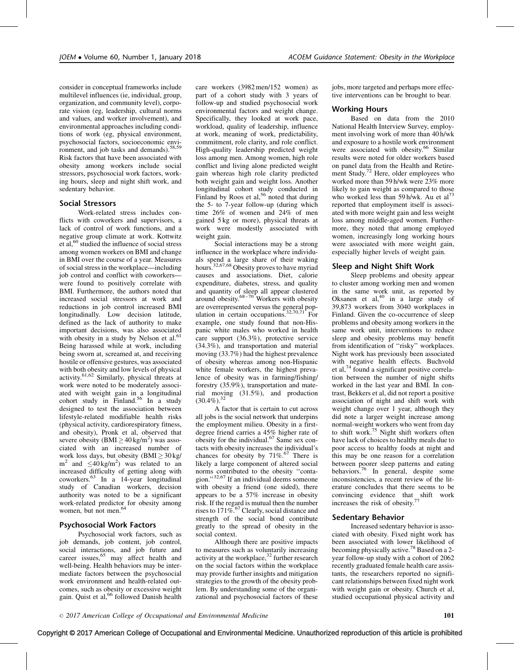consider in conceptual frameworks include multilevel influences (ie, individual, group, organization, and community level), corporate vision (eg, leadership, cultural norms and values, and worker involvement), and environmental approaches including conditions of work (eg, physical environment, psychosocial factors, socioeconomic envi-ronment, and job tasks and demands).<sup>[58,59](#page-9-0)</sup> Risk factors that have been associated with obesity among workers include social stressors, psychosocial work factors, working hours, sleep and night shift work, and sedentary behavior.

### Social Stressors

Work-related stress includes conflicts with coworkers and supervisors, a lack of control of work functions, and a negative group climate at work. Kottwitz et al,<sup>[60](#page-9-0)</sup> studied the influence of social stress among women workers on BMI and change in BMI over the course of a year. Measures of social stress in the workplace—including job control and conflict with coworkers were found to positively correlate with BMI. Furthermore, the authors noted that increased social stressors at work and reductions in job control increased BMI longitudinally. Low decision latitude, defined as the lack of authority to make important decisions, was also associated with obesity in a study by Nelson et al.<sup>[61](#page-9-0)</sup> Being harassed while at work, including being sworn at, screamed at, and receiving hostile or offensive gestures, was associated with both obesity and low levels of physical activity.[61,62](#page-9-0) Similarly, physical threats at work were noted to be moderately associ-ated with weight gain in a longitudinal<br>cohort study in Finland.<sup>[56](#page-9-0)</sup> In a study designed to test the association between lifestyle-related modifiable health risks (physical activity, cardiorespiratory fitness, and obesity), Pronk et al, observed that severe obesity (BMI  $\geq$  40 kg/m<sup>2</sup>) was associated with an increased number of work loss days, but obesity  $(BMI \ge 30 \text{ kg})$  $m^2$  and  $\leq 40 \text{ kg/m}^2$ ) was related to an increased difficulty of getting along with coworkers.[63](#page-9-0) In a 14-year longitudinal study of Canadian workers, decision authority was noted to be a significant work-related predictor for obesity among women, but not men.<sup>[64](#page-9-0)</sup>

### Psychosocial Work Factors

Psychosocial work factors, such as job demands, job content, job control, social interactions, and job future and career issues,<sup>[65](#page-9-0)</sup> may affect health and well-being. Health behaviors may be intermediate factors between the psychosocial work environment and health-related outcomes, such as obesity or excessive weight gain. Quist et al,<sup>[66](#page-9-0)</sup> followed Danish health

care workers (3982 men/152 women) as part of a cohort study with 3 years of follow-up and studied psychosocial work environmental factors and weight change. Specifically, they looked at work pace, workload, quality of leadership, influence at work, meaning of work, predictability, commitment, role clarity, and role conflict. High-quality leadership predicted weight loss among men. Among women, high role conflict and living alone predicted weight gain whereas high role clarity predicted both weight gain and weight loss. Another longitudinal cohort study conducted in Finland by Roos et al,<sup>[56](#page-9-0)</sup> noted that during the 5- to 7-year follow-up (during which time 26% of women and 24% of men gained 5 kg or more), physical threats at work were modestly associated with weight gain.

Social interactions may be a strong influence in the workplace where individuals spend a large share of their waking hours.<sup>[32,67,68](#page-8-0)</sup> Obesity proves to have myriad causes and associations. Diet, calorie expenditure, diabetes, stress, and quality and quantity of sleep all appear clustered<br>around obesity.<sup>[68–70](#page-9-0)</sup> Workers with obesity are overrepresented versus the general pop-ulation in certain occupations.<sup>[32,70,71](#page-8-0)</sup> For example, one study found that non-Hispanic white males who worked in health care support (36.3%), protective service (34.3%), and transportation and material moving (33.7%) had the highest prevalence of obesity whereas among non-Hispanic white female workers, the highest prevalence of obesity was in farming/fishing/ forestry (35.9%), transportation and material moving (31.5%), and production  $(30.4\%)$ .<sup>[32](#page-8-0)</sup>

A factor that is certain to cut across all jobs is the social network that underpins the employment milieu. Obesity in a firstdegree friend carries a 45% higher rate of obesity for the individual.<sup>[67](#page-9-0)</sup> Same sex contacts with obesity increases the individual's chances for obesity by  $71\%$ .<sup>67</sup> There is likely a large component of altered social norms contributed to the obesity ''contagion.''[32,67](#page-8-0) If an individual deems someone with obesity a friend (one sided), there appears to be a 57% increase in obesity risk. If the regard is mutual then the number rises to  $171\%$ .<sup>[67](#page-9-0)</sup> Clearly, social distance and strength of the social bond contribute greatly to the spread of obesity in the social context.

Although there are positive impacts to measures such as voluntarily increasing activity at the workplace, $32$  further research on the social factors within the workplace may provide further insights and mitigation strategies to the growth of the obesity problem. By understanding some of the organizational and psychosocial factors of these

jobs, more targeted and perhaps more effective interventions can be brought to bear.

#### Working Hours

Based on data from the 2010 National Health Interview Survey, employment involving work of more than 40 h/wk and exposure to a hostile work environment were associated with obesity.<sup>[66](#page-9-0)</sup> Similar results were noted for older workers based on panel data from the Health and Retire-ment Study.<sup>[72](#page-9-0)</sup> Here, older employees who worked more than 59 h/wk were 23% more likely to gain weight as compared to those who worked less than 59 h/wk. Au et  $al^{73}$ reported that employment itself is associated with more weight gain and less weight loss among middle-aged women. Furthermore, they noted that among employed women, increasingly long working hours were associated with more weight gain, especially higher levels of weight gain.

### Sleep and Night Shift Work

Sleep problems and obesity appear to cluster among working men and women in the same work unit, as reported by Oksanen et al,<sup>[40](#page-9-0)</sup> in a large study of 39,873 workers from 3040 workplaces in Finland. Given the co-occurrence of sleep problems and obesity among workers in the same work unit, interventions to reduce sleep and obesity problems may benefit from identification of ''risky'' workplaces. Night work has previously been associated with negative health effects. Buchvold et al,<sup>[74](#page-9-0)</sup> found a significant positive correlation between the number of night shifts worked in the last year and BMI. In contrast, Bekkers et al, did not report a positive association of night and shift work with weight change over 1 year, although they did note a larger weight increase among normal-weight workers who went from day to shift work.<sup>[75](#page-9-0)</sup> Night shift workers often have lack of choices to healthy meals due to poor access to healthy foods at night and this may be one reason for a correlation between poorer sleep patterns and eating behaviors.[76](#page-9-0) In general, despite some inconsistencies, a recent review of the literature concludes that there seems to be convincing evidence that shift work<br>increases the risk of obesity.<sup>77</sup>

#### Sedentary Behavior

Increased sedentary behavior is associated with obesity. Fixed night work has been associated with lower likelihood of becoming physically active.<sup>78</sup> Based on a 2year follow-up study with a cohort of 2062 recently graduated female health care assistants, the researchers reported no significant relationships between fixed night work with weight gain or obesity. Church et al, studied occupational physical activity and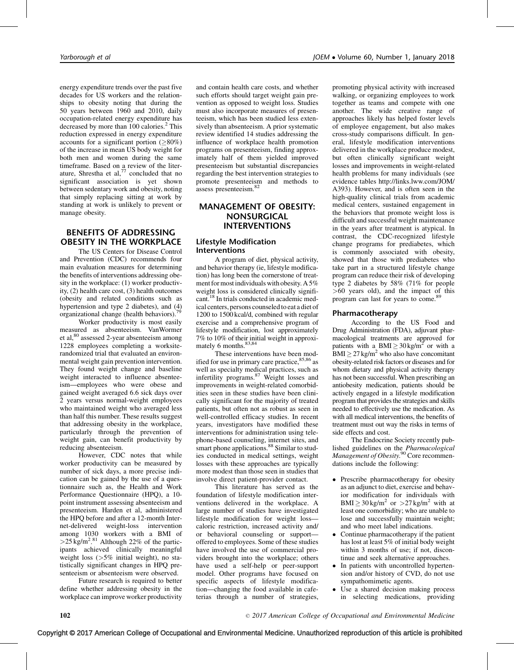energy expenditure trends over the past five decades for US workers and the relationships to obesity noting that during the 50 years between 1960 and 2010, daily occupation-related energy expenditure has decreased by more than 100 calories.<sup>[2](#page-8-0)</sup> This reduction expressed in energy expenditure accounts for a significant portion  $(\geq 80\%)$ of the increase in mean US body weight for both men and women during the same timeframe. Based on a review of the literature, Shrestha et al, $^{77}$  $^{77}$  $^{77}$  concluded that no significant association is yet shown between sedentary work and obesity, noting that simply replacing sitting at work by standing at work is unlikely to prevent or manage obesity.

## BENEFITS OF ADDRESSING OBESITY IN THE WORKPLACE

The US Centers for Disease Control and Prevention (CDC) recommends four main evaluation measures for determining the benefits of interventions addressing obesity in the workplace: (1) worker productivity, (2) health care cost, (3) health outcomes (obesity and related conditions such as hypertension and type 2 diabetes), and (4) organizational change (health behaviors).

Worker productivity is most easily measured as absenteeism. VanWormer et al,<sup>[80](#page-9-0)</sup> assessed 2-year absenteeism among 1228 employees completing a worksiterandomized trial that evaluated an environmental weight gain prevention intervention. They found weight change and baseline weight interacted to influence absenteeism—employees who were obese and gained weight averaged 6.6 sick days over 2 years versus normal-weight employees who maintained weight who averaged less than half this number. These results suggest that addressing obesity in the workplace, particularly through the prevention of weight gain, can benefit productivity by reducing absenteeism.

However, CDC notes that while worker productivity can be measured by number of sick days, a more precise indication can be gained by the use of a questionnaire such as, the Health and Work Performance Questionnaire (HPQ), a 10 point instrument assessing absenteeism and presenteeism. Harden et al, administered the HPQ before and after a 12-month Internet-delivered weight-loss intervention among 1030 workers with a BMI of  $>$  25 kg/m<sup>2.[81](#page-9-0)</sup> Although 22% of the participants achieved clinically meaningful weight loss  $($ >5% initial weight), no statistically significant changes in HPQ presenteeism or absenteeism were observed.

Future research is required to better define whether addressing obesity in the workplace can improve worker productivity and contain health care costs, and whether such efforts should target weight gain prevention as opposed to weight loss. Studies must also incorporate measures of presenteeism, which has been studied less extensively than absenteeism. A prior systematic review identified 14 studies addressing the influence of workplace health promotion programs on presenteeism, finding approximately half of them yielded improved presenteeism but substantial discrepancies regarding the best intervention strategies to promote presenteeism and methods to assess presenteeism.<sup>8</sup>

## MANAGEMENT OF OBESITY: NONSURGICAL INTERVENTIONS

### Lifestyle Modification Interventions

A program of diet, physical activity, and behavior therapy (ie, lifestyle modification) has long been the cornerstone of treatment for most individuals with obesity. A 5% weight loss is considered clinically significant.<sup>18</sup> In trials conducted in academic medical centers, persons counseled to eat a diet of 1200 to 1500 kcal/d, combined with regular exercise and a comprehensive program of lifestyle modification, lost approximately 7% to 10% of their initial weight in approximately 6 months.<sup>83,84</sup>

These interventions have been modified for use in primary care practice,  $85,86$  as well as specialty medical practices, such as infertility programs.[87](#page-10-0) Weight losses and improvements in weight-related comorbidities seen in these studies have been clinically significant for the majority of treated patients, but often not as robust as seen in well-controlled efficacy studies. In recent years, investigators have modified these interventions for administration using telephone-based counseling, internet sites, and smart phone applications.<sup>[88](#page-10-0)</sup> Similar to studies conducted in medical settings, weight losses with these approaches are typically more modest than those seen in studies that involve direct patient-provider contact.

This literature has served as the foundation of lifestyle modification interventions delivered in the workplace. A large number of studies have investigated lifestyle modification for weight loss caloric restriction, increased activity and/ or behavioral counseling or support offered to employees. Some of these studies have involved the use of commercial providers brought into the workplace; others have used a self-help or peer-support model. Other programs have focused on specific aspects of lifestyle modification—changing the food available in cafeterias through a number of strategies,

promoting physical activity with increased walking, or organizing employees to work together as teams and compete with one another. The wide creative range of approaches likely has helped foster levels of employee engagement, but also makes cross-study comparisons difficult. In general, lifestyle modification interventions delivered in the workplace produce modest, but often clinically significant weight losses and improvements in weight-related health problems for many individuals (see evidence tables [http://links.lww.com/JOM/](http://links.lww.com/JOM/A393) [A393](http://links.lww.com/JOM/A393)). However, and is often seen in the high-quality clinical trials from academic medical centers, sustained engagement in the behaviors that promote weight loss is difficult and successful weight maintenance in the years after treatment is atypical. In contrast, the CDC-recognized lifestyle change programs for prediabetes, which is commonly associated with obesity, showed that those with prediabetes who take part in a structured lifestyle change program can reduce their risk of developing type 2 diabetes by 58% (71% for people >60 years old), and the impact of this program can last for years to come.<sup>8</sup>

## Pharmacotherapy

According to the US Food and Drug Administration (FDA), adjuvant pharmacological treatments are approved for patients with a BMI  $\geq 30 \text{ kg/m}^2$  or with a  $\text{BMI} \geq 27 \text{ kg/m}^2$  who also have concomitant obesity-related risk factors or diseases and for whom dietary and physical activity therapy has not been successful. When prescribing an antiobesity medication, patients should be actively engaged in a lifestyle modification program that provides the strategies and skills needed to effectively use the medication. As with all medical interventions, the benefits of treatment must out way the risks in terms of side effects and cost.

The Endocrine Society recently published guidelines on the Pharmacological Management of Obesity.<sup>[90](#page-10-0)</sup> Core recommendations include the following:

- Prescribe pharmacotherapy for obesity as an adjunct to diet, exercise and behavior modification for individuals with  $\text{BMI} \geq 30 \text{ kg/m}^2$  or  $>27 \text{ kg/m}^2$  with at least one comorbidity; who are unable to lose and successfully maintain weight; and who meet label indications.
- Continue pharmacotherapy if the patient has lost at least 5% of initial body weight within 3 months of use; if not, discontinue and seek alternative approaches.
- In patients with uncontrolled hypertension and/or history of CVD, do not use sympathomimetic agents.
- Use a shared decision making process in selecting medications, providing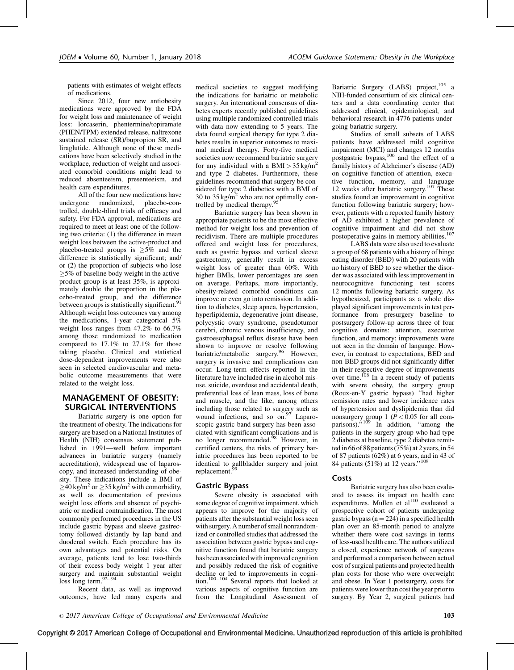patients with estimates of weight effects of medications.

Since 2012, four new antiobesity medications were approved by the FDA for weight loss and maintenance of weight loss: lorcaserin, phentermine/topiramate (PHEN/TPM) extended release, naltrexone sustained release (SR)/bupropion SR, and liraglutide. Although none of these medications have been selectively studied in the workplace, reduction of weight and associated comorbid conditions might lead to reduced absenteeism, presenteeism, and health care expenditures.

All of the four new medications have undergone randomized, placebo-controlled, double-blind trials of efficacy and safety. For FDA approval, medications are required to meet at least one of the following two criteria: (1) the difference in mean weight loss between the active-product and placebo-treated groups is  $\geq 5\%$  and the difference is statistically significant; and/ or (2) the proportion of subjects who lose  $\geq$ 5% of baseline body weight in the activeproduct group is at least 35%, is approximately double the proportion in the placebo-treated group, and the difference between groups is statistically significant.<sup>[91](#page-10-0)</sup> Although weight loss outcomes vary among the medications, 1-year categorical 5% weight loss ranges from 47.2% to 66.7% among those randomized to medication compared to 17.1% to 27.1% for those taking placebo. Clinical and statistical dose-dependent improvements were also seen in selected cardiovascular and metabolic outcome measurements that were related to the weight loss.

### MANAGEMENT OF OBESITY: SURGICAL INTERVENTIONS

Bariatric surgery is one option for the treatment of obesity. The indications for surgery are based on a National Institutes of Health (NIH) consensus statement published in 1991—well before important advances in bariatric surgery (namely accreditation), widespread use of laparoscopy, and increased understanding of obesity. These indications include a BMI of  $\geq$ 40 kg/m<sup>2</sup> or  $\geq$ 35 kg/m<sup>2</sup> with comorbidity, as well as documentation of previous weight loss efforts and absence of psychiatric or medical contraindication. The most commonly performed procedures in the US include gastric bypass and sleeve gastrectomy followed distantly by lap band and duodenal switch. Each procedure has its own advantages and potential risks. On average, patients tend to lose two-thirds of their excess body weight 1 year after surgery and maintain substantial weight loss long term.[92–94](#page-10-0)

Recent data, as well as improved outcomes, have led many experts and medical societies to suggest modifying the indications for bariatric or metabolic surgery. An international consensus of diabetes experts recently published guidelines using multiple randomized controlled trials with data now extending to 5 years. The data found surgical therapy for type 2 diabetes results in superior outcomes to maximal medical therapy. Forty-five medical societies now recommend bariatric surgery for any individual with a BMI  $> 35 \text{ kg/m}^2$ and type 2 diabetes. Furthermore, these guidelines recommend that surgery be considered for type 2 diabetics with a BMI of 30 to  $35 \text{ kg/m}^2$  who are not optimally controlled by medical therapy.<sup>95</sup>

Bariatric surgery has been shown in appropriate patients to be the most effective method for weight loss and prevention of recidivism. There are multiple procedures offered and weight loss for procedures, such as gastric bypass and vertical sleeve gastrectomy, generally result in excess weight loss of greater than 60%. With higher BMIs, lower percentages are seen on average. Perhaps, more importantly, obesity-related comorbid conditions can improve or even go into remission. In addition to diabetes, sleep apnea, hypertension, hyperlipidemia, degenerative joint disease, polycystic ovary syndrome, pseudotumor cerebri, chronic venous insufficiency, and gastroesophageal reflux disease have been shown to improve or resolve following bariatric/metabolic surgery.<sup>[96](#page-10-0)</sup> However, surgery is invasive and complications can occur. Long-term effects reported in the literature have included rise in alcohol misuse, suicide, overdose and accidental death, preferential loss of lean mass, loss of bone and muscle, and the like, among others including those related to surgery such as wound infections, and so on.<sup>97</sup> Laparoscopic gastric band surgery has been associated with significant complications and is no longer recommended.<sup>[98](#page-10-0)</sup> However, in certified centers, the risks of primary bariatric procedures has been reported to be identical to gallbladder surgery and joint replacement.

#### Gastric Bypass

Severe obesity is associated with some degree of cognitive impairment, which appears to improve for the majority of patients after the substantial weight loss seen with surgery. A number of small nonrandomized or controlled studies that addressed the association between gastric bypass and cognitive function found that bariatric surgery has been associated with improved cognition and possibly reduced the risk of cognitive decline or led to improvements in cogni-tion.<sup>[100–104](#page-10-0)</sup> Several reports that looked at various aspects of cognitive function are from the Longitudinal Assessment of Bariatric Surgery (LABS) project,<sup>105</sup> a NIH-funded consortium of six clinical centers and a data coordinating center that addressed clinical, epidemiological, and behavioral research in 4776 patients undergoing bariatric surgery.

Studies of small subsets of LABS patients have addressed mild cognitive impairment (MCI) and changes 12 months postgastric bypass,<sup>106</sup> and the effect of a family history of Alzheimer's disease (AD) on cognitive function of attention, executive function, memory, and language 12 weeks after bariatric surgery.<sup>[107](#page-10-0)</sup> These studies found an improvement in cognitive function following bariatric surgery; however, patients with a reported family history of AD exhibited a higher prevalence of cognitive impairment and did not show postoperative gains in memory abilities.<sup>[107](#page-10-0)</sup>

LABS data were also used to evaluate a group of 68 patients with a history of binge eating disorder (BED) with 20 patients with no history of BED to see whether the disorder was associated with less improvement in neurocognitive functioning test scores 12 months following bariatric surgery. As hypothesized, participants as a whole displayed significant improvements in test performance from presurgery baseline to postsurgery follow-up across three of four cognitive domains: attention, executive function, and memory; improvements were not seen in the domain of language. However, in contrast to expectations, BED and non-BED groups did not significantly differ in their respective degree of improvements over time.<sup>[108](#page-10-0)</sup> In a recent study of patients with severe obesity, the surgery group (Roux-en-Y gastric bypass) ''had higher remission rates and lower incidence rates of hypertension and dyslipidemia than did nonsurgery group 1 ( $P < 0.05$  for all com-<br>parisons)."<sup>[109](#page-10-0)</sup> In addition, "among the patients in the surgery group who had type 2 diabetes at baseline, type 2 diabetes remitted in 66 of 88 patients (75%) at 2 years, in 54 of 87 patients (62%) at 6 years, and in 43 of 84 patients (51%) at 12 years."<sup>109</sup>

#### Costs

Bariatric surgery has also been evaluated to assess its impact on health care expenditures. Mullen et al<sup>[110](#page-10-0)</sup> evaluated a prospective cohort of patients undergoing gastric bypass  $(n = 224)$  in a specified health plan over an 85-month period to analyze whether there were cost savings in terms of less-used health care. The authors utilized a closed, experience network of surgeons and performed a comparison between actual cost of surgical patients and projected health plan costs for those who were overweight and obese. In Year 1 postsurgery, costs for patients were lowerthan cost the year priorto surgery. By Year 2, surgical patients had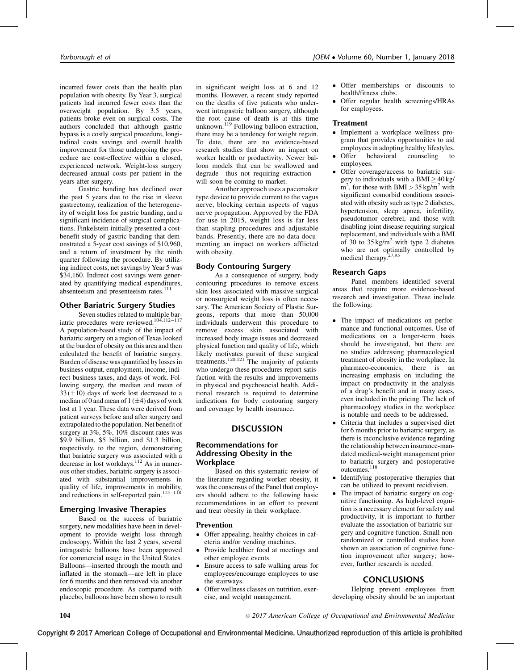incurred fewer costs than the health plan population with obesity. By Year 3, surgical patients had incurred fewer costs than the overweight population. By 3.5 years, patients broke even on surgical costs. The authors concluded that although gastric bypass is a costly surgical procedure, longitudinal costs savings and overall health improvement for those undergoing the procedure are cost-effective within a closed, experienced network. Weight-loss surgery decreased annual costs per patient in the years after surgery.

Gastric banding has declined over the past 5 years due to the rise in sleeve gastrectomy, realization of the heterogeneity of weight loss for gastric banding, and a significant incidence of surgical complications. Finkelstein initially presented a costbenefit study of gastric banding that demonstrated a 5-year cost savings of \$10,960, and a return of investment by the ninth quarter following the procedure. By utilizing indirect costs, net savings by Year 5 was \$34,160. Indirect cost savings were generated by quantifying medical expenditures, absenteeism and presenteeism rates.<sup>[111](#page-10-0)</sup>

## Other Bariatric Surgery Studies

Seven studies related to multiple bariatric procedures were reviewed.<sup>104,112–117</sup> A population-based study of the impact of bariatric surgery on a region of Texas looked at the burden of obesity on this area and then calculated the benefit of bariatric surgery. Burden of disease was quantified by losses in business output, employment, income, indirect business taxes, and days of work. Following surgery, the median and mean of  $33 (\pm 10)$  days of work lost decreased to a median of 0 and mean of 1 ( $\pm$ 4) days of work lost at 1 year. These data were derived from patient surveys before and after surgery and extrapolated to the population. Net benefit of surgery at 3%, 5%, 10% discount rates was \$9.9 billion, \$5 billion, and \$1.3 billion, respectively, to the region, demonstrating that bariatric surgery was associated with a decrease in lost workdays.<sup>[112](#page-10-0)</sup> As in numerous other studies, bariatric surgery is associated with substantial improvements in quality of life, improvements in mobility, and reductions in self-reported pain.<sup>115–118</sup>

## Emerging Invasive Therapies

Based on the success of bariatric surgery, new modalities have been in development to provide weight loss through endoscopy. Within the last 2 years, several intragastric balloons have been approved for commercial usage in the United States. Balloons—inserted through the mouth and inflated in the stomach—are left in place for 6 months and then removed via another endoscopic procedure. As compared with placebo, balloons have been shown to result in significant weight loss at 6 and 12 months. However, a recent study reported on the deaths of five patients who underwent intragastric balloon surgery, although the root cause of death is at this time unknown.<sup>[119](#page-10-0)</sup> Following balloon extraction, there may be a tendency for weight regain. To date, there are no evidence-based research studies that show an impact on worker health or productivity. Newer balloon models that can be swallowed and degrade—thus not requiring extraction will soon be coming to market.

Another approach uses a pacemaker type device to provide current to the vagus nerve, blocking certain aspects of vagus nerve propagation. Approved by the FDA for use in 2015, weight loss is far less than stapling procedures and adjustable bands. Presently, there are no data documenting an impact on workers afflicted with obesity.

## Body Contouring Surgery

As a consequence of surgery, body contouring procedures to remove excess skin loss associated with massive surgical or nonsurgical weight loss is often necessary. The American Society of Plastic Surgeons, reports that more than 50,000 individuals underwent this procedure to remove excess skin associated with increased body image issues and decreased physical function and quality of life, which likely motivates pursuit of these surgical<br>treatments.<sup>[120,121](#page-10-0)</sup> The majority of patients who undergo these procedures report satisfaction with the results and improvements in physical and psychosocial health. Additional research is required to determine indications for body contouring surgery and coverage by health insurance.

## **DISCUSSION**

### Recommendations for Addressing Obesity in the **Workplace**

Based on this systematic review of the literature regarding worker obesity, it was the consensus of the Panel that employers should adhere to the following basic recommendations in an effort to prevent and treat obesity in their workplace.

#### Prevention

- Offer appealing, healthy choices in cafeteria and/or vending machines.
- Provide healthier food at meetings and other employee events.
- Ensure access to safe walking areas for employees/encourage employees to use the stairways.
- Offer wellness classes on nutrition, exercise, and weight management.
- Offer memberships or discounts to health/fitness clubs.
- Offer regular health screenings/HRAs for employees.

### Treatment

- Implement a workplace wellness program that provides opportunities to aid employees in adopting healthy lifestyles.
- Offer behavioral counseling to employees.
- Offer coverage/access to bariatric surgery to individuals with a BMI  $\geq$  40 kg/  $m^2$ , for those with BMI > 35 kg/m<sup>2</sup> with significant comorbid conditions associated with obesity such as type 2 diabetes, hypertension, sleep apnea, infertility, pseudotumor cerebrei, and those with disabling joint disease requiring surgical replacement, and individuals with a BMI of 30 to  $35 \text{ kg/m}^2$  with type 2 diabetes who are not optimally controlled by medical therapy.[27,95](#page-8-0)

### Research Gaps

Panel members identified several areas that require more evidence-based research and investigation. These include the following:

- The impact of medications on performance and functional outcomes. Use of medications on a longer-term basis should be investigated, but there are no studies addressing pharmacological treatment of obesity in the workplace. In pharmaco-economics, there is an increasing emphasis on including the impact on productivity in the analysis of a drug's benefit and in many cases, even included in the pricing. The lack of pharmacology studies in the workplace is notable and needs to be addressed.
- Criteria that includes a supervised diet for 6 months prior to bariatric surgery, as there is inconclusive evidence regarding the relationship between insurance-mandated medical-weight management prior to bariatric surgery and postoperative<br>outcomes.<sup>[118](#page-10-0)</sup>
- Identifying postoperative therapies that can be utilized to prevent recidivism.
- The impact of bariatric surgery on cognitive functioning. As high-level cognition is a necessary element for safety and productivity, it is important to further evaluate the association of bariatric surgery and cognitive function. Small nonrandomized or controlled studies have shown an association of cognitive function improvement after surgery; however, further research is needed.

## **CONCLUSIONS**

Helping prevent employees from developing obesity should be an important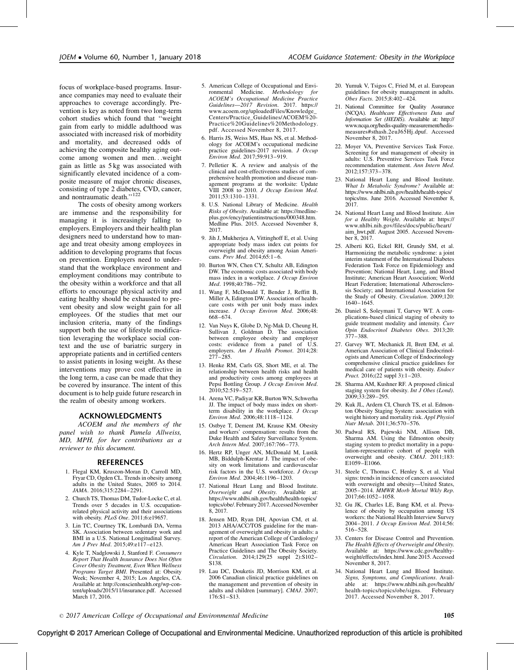<span id="page-8-0"></span>focus of workplace-based programs. Insurance companies may need to evaluate their approaches to coverage accordingly. Prevention is key as noted from two long-term cohort studies which found that ''weight gain from early to middle adulthood was associated with increased risk of morbidity and mortality, and decreased odds of achieving the composite healthy aging outcome among women and men...weight gain as little as 5 kg was associated with significantly elevated incidence of a composite measure of major chronic diseases, consisting of type 2 diabetes, CVD, cancer, and nontraumatic death."<sup>[122](#page-10-0)</sup>

The costs of obesity among workers are immense and the responsibility for managing it is increasingly falling to employers. Employers and their health plan designers need to understand how to manage and treat obesity among employees in addition to developing programs that focus on prevention. Employers need to understand that the workplace environment and employment conditions may contribute to the obesity within a workforce and that all efforts to encourage physical activity and eating healthy should be exhausted to prevent obesity and slow weight gain for all employees. Of the studies that met our inclusion criteria, many of the findings support both the use of lifestyle modification leveraging the workplace social context and the use of bariatric surgery in appropriate patients and in certified centers to assist patients in losing weight. As these interventions may prove cost effective in the long term, a case can be made that they be covered by insurance. The intent of this document is to help guide future research in the realm of obesity among workers.

#### ACKNOWLEDGMENTS

ACOEM and the members of the panel wish to thank Pamela Allweiss, MD, MPH, for her contributions as a reviewer to this document.

### **REFERENCES**

- 1. Flegal KM, Kruszon-Moran D, Carroll MD, Fryar CD, Ogden CL. Trends in obesity among adults in the United States, 2005 to 2014. JAMA. 2016;315:2284–2291.
- 2. Church TS, Thomas DM, Tudor-Locke C, et al. Trends over 5 decades in U.S. occupationrelated physical activity and their associations with obesity. PLoS One. 2011;6:e19657.
- 3. Lin TC, Courtney TK, Lombardi DA, Verma SK. Association between sedentary work and BMI in a U.S. National Longitudinal Survey. Am J Prev Med. 2015;49:e117–e123.
- 4. Kyle T, Nadglowski J, Stanford F. Consumers Report That Health Insurance Does Not Often Cover Obesity Treatment, Even When Wellness Programs Target BMI. Presented at: Obesity Week; November 4, 2015; Los Angeles, CA. Available at: [http://conscienhealth.org/wp-con](http://conscienhealth.org/wp-content/uploads/2015/11/insurance.pdf)[tent/uploads/2015/11/insurance.pdf. Accessed](http://conscienhealth.org/wp-content/uploads/2015/11/insurance.pdf) [March 17, 2016.](http://conscienhealth.org/wp-content/uploads/2015/11/insurance.pdf)
- 5. American College of Occupational and Environmental Medicine. Methodology for ACOEM's Occupational Medicine Practice Guidelines—2017 Revision. 2017. [https://](https://www.acoem.org/uploadedFiles/Knowledge_Centers/Practice_Guidelines/ACOEM%20Practice%20Guidelines%20Methodology.pdf) [www.acoem.org/uploadedFiles/Knowledge\\_](https://www.acoem.org/uploadedFiles/Knowledge_Centers/Practice_Guidelines/ACOEM%20Practice%20Guidelines%20Methodology.pdf) [Centers/Practice\\_Guidelines/ACOEM%20-](https://www.acoem.org/uploadedFiles/Knowledge_Centers/Practice_Guidelines/ACOEM%20Practice%20Guidelines%20Methodology.pdf) [Practice%20Guidelines%20Methodology.](https://www.acoem.org/uploadedFiles/Knowledge_Centers/Practice_Guidelines/ACOEM%20Practice%20Guidelines%20Methodology.pdf) [pdf. Accessed November 8, 2017.](https://www.acoem.org/uploadedFiles/Knowledge_Centers/Practice_Guidelines/ACOEM%20Practice%20Guidelines%20Methodology.pdf)
- 6. Harris JS, Weiss MS, Haas NS, et al. Methodology for ACOEM's occupational medicine practice guidelines-2017 revision. J Occup Environ Med. 2017;59:913–919.
- 7. Pelletier K. A review and analysis of the clinical and cost-effectiveness studies of comprehensive health promotion and disease management programs at the worksite: Update VIII 2008 to 2010. J Occup Environ Med. 2011;53:1310–1331.
- 8. U.S. National Library of Medicine. Health Risks of Obesity. Available at: [https://medline](https://medlineplus.gov/ency/patientinstructions/000348.htm)[plus.gov/ency/patientinstructions/000348.htm.](https://medlineplus.gov/ency/patientinstructions/000348.htm) [Medline Plus. 2015. Accessed November 8,](https://medlineplus.gov/ency/patientinstructions/000348.htm) [2017.](https://medlineplus.gov/ency/patientinstructions/000348.htm)
- 9. Jih J, Mukherjea A, Vittinghoff E, et al. Using appropriate body mass index cut points for overweight and obesity among Asian Americans. Prev Med. 2014;65:1–6.
- 10. Burton WN, Chen CY, Schultz AB, Edington DW. The economic costs associated with body mass index in a workplace. J Occup Environ Med. 1998;40:786-792.
- 11. Wang F, McDonald T, Bender J, Reffitt B, Miller A, Edington DW. Association of healthcare costs with per unit body mass index increase. J Occup Environ Med. 2006;48: 668–674.
- 12. Van Nuys K, Globe D, Ng-Mak D, Cheung H, Sullivan J, Goldman D. The association between employee obesity and employer costs: evidence from a panel of U.S. employers. Am J Health Promot. 2014;28: 277–285.
- 13. Henke RM, Carls GS, Short ME, et al. The relationship between health risks and health and productivity costs among employees at Pepsi Bottling Group. J Occup Environ Med. 2010;52:519–527.
- 14. Arena VC, Padiyar KR, Burton WN, Schwerha JJ. The impact of body mass index on shortterm disability in the workplace. J Occup Environ Med. 2006;48:1118–1124.
- 15. Ostbye T, Dement JM, Krause KM. Obesity and workers' compensation: results from the Duke Health and Safety Surveillance System. Arch Intern Med. 2007;167:766–773.
- 16. Hertz RP, Unger AN, McDonald M, Lustik MB, Biddulph-Krentar J. The impact of obesity on work limitations and cardiovascular risk factors in the U.S. workforce. J Occup Environ Med. 2004;46:1196–1203.
- 17. National Heart Lung and Blood Institute. Overweight and Obesity. Available at: [https://www.nhlbi.nih.gov/health/health-topics/](https://www.nhlbi.nih.gov/health/health-topics/topics/obe/) [topics/obe/. February 2017. Accessed November](https://www.nhlbi.nih.gov/health/health-topics/topics/obe/) [8, 2017.](https://www.nhlbi.nih.gov/health/health-topics/topics/obe/)
- 18. Jensen MD, Ryan DH, Apovian CM, et al. 2013 AHA/ACC/TOS guideline for the management of overweight and obesity in adults: a report of the American College of Cardiology/ American Heart Association Task Force on Practice Guidelines and The Obesity Society. Circulation. 2014;129(25 suppl 2):S102– S138.
- 19. Lau DC, Douketis JD, Morrison KM, et al. 2006 Canadian clinical practice guidelines on the management and prevention of obesity in adults and children [summary]. CMAJ. 2007; 176:S1–S13.
- 20. Yumuk V, Tsigos C, Fried M, et al. European guidelines for obesity management in adults. Obes Facts. 2015;8:402–424.
- 21. National Committee for Quality Assurance (NCQA). Healthcare Effectiveness Data and Information Set (HEDIS). Available at: [http://](http://www.ncqa.org/hedis-quality-measurement/hedis-measures%23sthash.2euJ65Hj.dpuf) [www.ncqa.org/hedis-quality-measurement/hedis](http://www.ncqa.org/hedis-quality-measurement/hedis-measures%23sthash.2euJ65Hj.dpuf)[measures#sthash.2euJ65Hj.dpuf. Accessed](http://www.ncqa.org/hedis-quality-measurement/hedis-measures%23sthash.2euJ65Hj.dpuf) [November 8, 2017.](http://www.ncqa.org/hedis-quality-measurement/hedis-measures%23sthash.2euJ65Hj.dpuf)
- 22. Moyer VA, Preventive Services Task Force. Screening for and management of obesity in adults: U.S. Preventive Services Task Force recommendation statement. Ann Intern Med. 2012;157:373–378.
- 23. National Heart Lung and Blood Institute. What Is Metabolic Syndrome? Available at: [https://www.nhlbi.nih.gov/health/health-topics/](https://www.nhlbi.nih.gov/health/health-topics/topics/ms) [topics/ms. June 2016. Accessed November 8,](https://www.nhlbi.nih.gov/health/health-topics/topics/ms) [2017.](https://www.nhlbi.nih.gov/health/health-topics/topics/ms)
- 24. National Heart Lung and Blood Institute. Aim for a Healthy Weight. Available at: [https://](https://www.nhlbi.nih.gov/files/docs/public/heart/aim_hwt.pdf) [www.nhlbi.nih.gov/files/docs/public/heart/](https://www.nhlbi.nih.gov/files/docs/public/heart/aim_hwt.pdf) [aim\\_hwt.pdf. August 2005. Accessed Novem](https://www.nhlbi.nih.gov/files/docs/public/heart/aim_hwt.pdf)[ber 8, 2017.](https://www.nhlbi.nih.gov/files/docs/public/heart/aim_hwt.pdf)
- 25. Alberti KG, Eckel RH, Grundy SM, et al. Harmonizing the metabolic syndrome: a joint interim statement of the International Diabetes Federation Task Force on Epidemiology and Prevention; National Heart, Lung, and Blood Institute; American Heart Association; World Heart Federation; International Atherosclerosis Society; and International Association for the Study of Obesity. Circulation. 2009;120: 1640–1645.
- 26. Daniel S, Soleymani T, Garvey WT. A complications-based clinical staging of obesity to guide treatment modality and intensity. Curr Opin Endocrinol Diabetes Obes. 2013;20: 377–388.
- 27. Garvey WT, Mechanick JI, Brett EM, et al. American Association of Clinical Endocrinologists and American College of Endocrinology comprehensive clinical practice guidelines for medical care of patients with obesity. Endocr Pract. 2016;(22 suppl 3):1-203.
- 28. Sharma AM, Kushner RF. A proposed clinical staging system for obesity. Int  $\hat{J}$  Obes (Lond). 2009;33:289–295.
- 29. Kuk JL, Ardern CI, Church TS, et al. Edmonton Obesity Staging System: association with weight history and mortality risk. Appl Physiol Nutr Metab. 2011;36:570–576.
- 30. Padwal RS, Pajewski NM, Allison DB, Sharma AM. Using the Edmonton obesity staging system to predict mortality in a population-representative cohort of people with overweight and obesity. CMAJ. 2011;183: E1059–E1066.
- 31. Steele C, Thomas C, Henley S, et al. Vital signs: trends in incidence of cancers associated with overweight and obesity—United States, 2005–2014. MMWR Morb Mortal Wkly Rep. 2017;66:1052–1058.
- 32. Gu JK, Charles LE, Bang KM, et al. Prevalence of obesity by occupation among US workers: the National Health Interview Survey 2004–2011. J Occup Environ Med. 2014;56: 516–528.
- 33. Centers for Disease Control and Prevention. The Health Effects of Overweight and Obesity. Available at: [https://www.cdc.gov/healthy](https://www.cdc.gov/healthyweight/effects/index.html)[weight/effects/index.html. June 2015. Accessed](https://www.cdc.gov/healthyweight/effects/index.html) [November 8, 2017.](https://www.cdc.gov/healthyweight/effects/index.html)
- 34. National Heart Lung and Blood Institute. Signs, Symptoms, and Complications. Available at: [https://www.nhlbi.nih.gov/health/](https://www.nhlbi.nih.gov/health/health-topics/topics/obe/signs)<br>health-topics/topics/obe/signs. February health-topics/topics/obe/signs. [2017. Accessed November 8, 2017.](https://www.nhlbi.nih.gov/health/health-topics/topics/obe/signs)

 $\degree$  2017 American College of Occupational and Environmental Medicine 105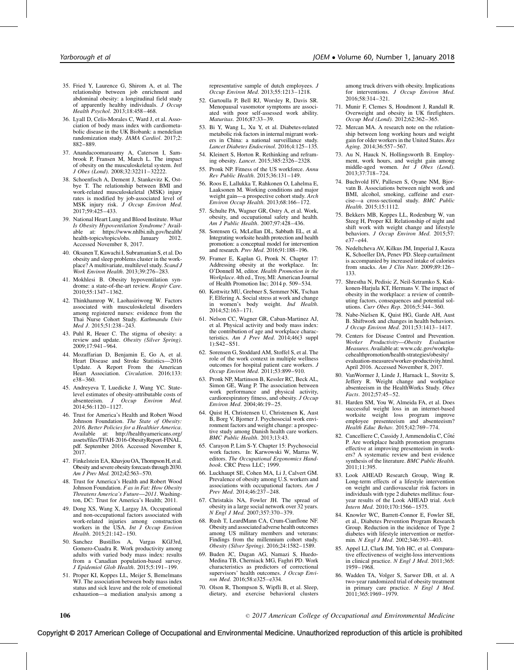- <span id="page-9-0"></span>35. Fried Y, Laurence G, Shirom A, et al. The relationship between job enrichment and abdominal obesity: a longitudinal field study of apparently healthy individuals. J Occup Health Psychol. 2013;18:458–468.
- 36. Lyall D, Celis-Morales C, Ward J, et al. Association of body mass index with cardiometabolic disease in the UK Biobank: a mendelian randomization study. JAMA Cardiol. 2017;2: 882–889.
- 37. Anandacoomarasamy A, Caterson I, Sambrook P, Fransen M, March L. The impact of obesity on the musculoskeletal system. Intl J Obes (Lond). 2008;32:32211–32222.
- 38. Schoenfisch A, Dement J, Stankevitz K, Ostbye T. The relationship between BMI and work-related musculoskeletal (MSK) injury rates is modified by job-associated level of MSK injury risk. J Occup Environ Med. 2017;59:425–433.
- 39. National Heart Lung and Blood Institute. What Is Obesity Hypoventilation Syndrome? Available at: [https://www.nhlbi.nih.gov/health/](https://www.nhlbi.nih.gov/health/health-topics/topics/ohs)<br>health-topics/topics/ohs. January 2012. health-topics/topics/ohs. [Accessed November 8, 2017.](https://www.nhlbi.nih.gov/health/health-topics/topics/ohs)
- 40. Oksanen T, Kawachi I, Subramanian S, et al. Do obesity and sleep problems cluster in the workplace? A multivariate, multilevel study. Scand J Work Environ Health. 2013;39:276–283.
- 41. Mokhlesi B. Obesity hypoventilation syndrome: a state-of-the-art review. Respir Care. 2010;55:1347–1362.
- 42. Thinkhamrop W, Laohasiriwong W. Factors associated with musculoskeletal disorders among registered nurses: evidence from the Thai Nurse Cohort Study. Kathmandu Univ Med J. 2015;51:238–243.
- 43. Puhl R, Heuer C. The stigma of obesity: a review and update. Obesity (Silver Spring). 2009;17:941–964.
- 44. Mozaffarian D, Benjamin E, Go A, et al. Heart Disease and Stroke Statistics—2016 Update. A Report From the American Heart Association. Circulation. 2016;133: e38–360.
- 45. Andreyeva T, Luedicke J, Wang YC. Statelevel estimates of obesity-attributable costs of absenteeism. J Occup Environ Med. 2014;56:1120–1127.
- 46. Trust for America's Health and Robert Wood Johnson Foundation. The State of Obesity: 2016. Better Policies for a Healthier America. Available at: [http://healthyamericans.org/](http://healthyamericans.org/assets/files/TFAH-2016-ObesityReport-FINAL.pdf) [assets/files/TFAH-2016-ObesityReport-FINAL.](http://healthyamericans.org/assets/files/TFAH-2016-ObesityReport-FINAL.pdf) [pdf. September 2016. Accessed November 8,](http://healthyamericans.org/assets/files/TFAH-2016-ObesityReport-FINAL.pdf) [2017.](http://healthyamericans.org/assets/files/TFAH-2016-ObesityReport-FINAL.pdf)
- 47. Finkelstein EA, Khavjou OA, Thompson H, et al. Obesity and severe obesity forecasts through 2030. Am J Prev Med. 2012;42:563–570.
- 48. Trust for America's Health and Robert Wood Johnson Foundation. F as in Fat: How Obesity Threatens America's Future—2011. Washington, DC: Trust for America's Health; 2011.
- 49. Dong XS, Wang X, Largay JA. Occupational and non-occupational factors associated with work-related injuries among construction workers in the USA. Int J Occup Environ Health. 2015;21:142–150.
- 50. Sanchez Bustillos A, Vargas KGJ3rd, Gomero-Cuadra R. Work productivity among adults with varied body mass index: results from a Canadian population-based survey. J Epidemiol Glob Health. 2015;5:191–199.
- 51. Proper KI, Koppes LL, Meijer S, Bemelmans WJ. The association between body mass index status and sick leave and the role of emotional exhaustion—a mediation analysis among a

representative sample of dutch employees. J Occup Environ Med. 2013;55:1213–1218.

- 52. Gartoulla P, Bell RJ, Worsley R, Davis SR. Menopausal vasomotor symptoms are associated with poor self-assessed work ability. Maturitas. 2016;87:33–39.
- 53. Bi Y, Wang L, Xu Y, et al. Diabetes-related metabolic risk factors in internal migrant workers in China: a national surveillance study. Lancet Diabetes Endocrinol. 2016;4:125–135.
- 54. Kleinert S, Horton R. Rethinking and reframing obesity. Lancet. 2015;385:2326–2328.
- 55. Pronk NP. Fitness of the US workforce. Annu Rev Public Health. 2015;36:131–149.
- 56. Roos E, Lallukka T, Rahkonen O, Lahelma E, Laaksonen M. Working conditions and major weight gain—a prospective cohort study. Arch Environ Occup Health. 2013;68:166–172.
- 57. Schulte PA, Wagner GR, Ostry A, et al. Work, obesity, and occupational safety and health. Am J Public Health. 2007;97:428–436.
- 58. Sorensen G, McLellan DL, Sabbath EL, et al. Integrating worksite health protection and health promotion: a conceptual model for intervention and research. Prev Med. 2016;91:188–196.
- 59. Framer E, Kaplan G, Pronk N. Chapter 17:<br>Addressing obesity at the workplace. In: Addressing obesity at the workplace. O'Donnell M, editor. Health Promotion in the Workplace. 4th ed., Troy, MI: American Journal of Health Promotion Inc; 2014 p. 509-534.
- 60. Kottwitz MU, Grebner S, Semmer NK, Tschan F, Elfering A. Social stress at work and change in women's body weight. Ind Health. 2014;52:163–171.
- 61. Nelson CC, Wagner GR, Caban-Martinez AJ, et al. Physical activity and body mass index: the contribution of age and workplace characteristics. Am J Prev Med. 2014:46(3 suppl 1):S42–S51.
- 62. Sorensen G, Stoddard AM, Stoffel S, et al. The role of the work context in multiple wellness outcomes for hospital patient care workers. J Occup Environ Med. 2011;53:899–910.
- 63. Pronk NP, Martinson B, Kessler RC, Beck AL, Simon GE, Wang P. The association between work performance and physical activity, cardiorespiratory fitness, and obesity. J Occup Environ Med. 2004;46:19–25.
- 64. Quist H, Christensen U, Christensen K, Aust B, Borg V, Bjorner J. Psychosocial work environment factors and weight change: a prospective study among Danish health care workers. BMC Public Health. 2013;13:43.
- 65. Carayon P, Lim S-Y. Chapter 15: Psychosocial work factors. In: Karwowski W, Marras W, editors. The Occupational Ergonomics Handbook. CRC Press LLC; 1999.
- 66. Luckhaupt SE, Cohen MA, Li J, Calvert GM. Prevalence of obesity among U.S. workers and associations with occupational factors. Am J Prev Med. 2014;46:237-248.
- 67. Christakis NA, Fowler JH. The spread of obesity in a large social network over 32 years. N Engl J Med. 2007;357:370–379.
- 68. Rush T, LeardMann CA, Crum-Cianflone NF. Obesity and associated adverse health outcomes among US military members and veterans: Findings from the millennium cohort study. Obesity (Silver Spring). 2016;24:1582–1589.
- 69. Buden JC, Dugan AG, Namazi S, Huedo-Medina TB, Cherniack MG, Faghri PD. Work characteristics as predictors of correctional supervisors' health outcomes. J Occup Environ Med. 2016;58:e325–e334.
- 70. Olson R, Thompson S, Wipfli B, et al. Sleep, dietary, and exercise behavioral clusters

among truck drivers with obesity. Implications for interventions. J Occup Environ Med. 2016;58:314–321.

- 71. Munir F, Clemes S, Houdmont J, Randall R. Overweight and obesity in UK firefighters. Occup Med (Lond). 2012;62:362–365.
- 72. Mercan MA. A research note on the relationship between long working hours and weight gain for older workers in the United States. Res Aging. 2014;36:557–567.
- 73. Au N, Hauck N, Hollingsworth B. Employment, work hours, and weight gain among middle-aged women. Int J Obes (Lond). 2013;37:718–724.
- 74. Buchvold HV, Pallesen S, Oyane NM, Bjorvatn B. Associations between night work and BMI, alcohol, smoking, caffeine and exercise—a cross-sectional study. BMC Public Health. 2015;15:1112.
- 75. Bekkers MB, Koppes LL, Rodenburg W, van Steeg H, Proper KI. Relationship of night and shift work with weight change and lifestyle behaviors. J Occup Environ Med. 2015;57: e37–e44.
- 76. Nedeltcheva AV, Kilkus JM, Imperial J, Kasza K, Schoeller DA, Penev PD. Sleep curtailment is accompanied by increased intake of calories from snacks. Am J Clin Nutr. 2009;89:126– 133.
- 77. Shrestha N, Pedisic Z, Neil-Sztramko S, Kukkonen-Harjula KT, Hermans V. The impact of obesity in the workplace: a review of contributing factors, consequences and potential solutions. Curr Obes Rep. 2016;5:344–360.
- 78. Nabe-Nielsen K, Quist HG, Garde AH, Aust B. Shiftwork and changes in health behaviors. J Occup Environ Med. 2011;53:1413–1417.
- 79. Centers for Disease Control and Prevention. Worker Productivity—Obesity Evaluation Measures. Available at: [www.cdc.gov/workpla](http://www.cdc.gov/workplacehealthpromotion/health-strategies/obesity/evaluation-measures/worker-productivity.html)[cehealthpromotion/health-strategies/obesity/](http://www.cdc.gov/workplacehealthpromotion/health-strategies/obesity/evaluation-measures/worker-productivity.html) [evaluation-measures/worker-productivity.html.](http://www.cdc.gov/workplacehealthpromotion/health-strategies/obesity/evaluation-measures/worker-productivity.html) [April 2016. Accessed November 8, 2017.](http://www.cdc.gov/workplacehealthpromotion/health-strategies/obesity/evaluation-measures/worker-productivity.html)
- 80. VanWormer J, Linde J, Harnack L, Stovitz S, Jeffery R. Weight change and workplace absenteeism in the HealthWorks Study. Obes Facts. 2012;57:45–52.
- 81. Harden SM, You W, Almeida FA, et al. Does successful weight loss in an internet-based worksite weight loss program improve employee presenteeism and absenteeism? Health Educ Behav. 2015;42:769–774.
- 82. Cancelliere C, Cassidy J, Ammendolia C, Côté P. Are workplace health promotion programs effective at improving presenteeism in workers? A systematic review and best evidence synthesis of the literature. BMC Public Health. 2011;11:395.
- 83. Look AHEAD Research Group, Wing R. Long-term effects of a lifestyle intervention on weight and cardiovascular risk factors in individuals with type 2 diabetes mellitus: fouryear results of the Look AHEAD trial. Arch Intern Med. 2010;170:1566–1575.
- 84. Knowler WC, Barrett-Connor E, Fowler SE, et al., Diabetes Prevention Program Research Group. Reduction in the incidence of Type 2 diabetes with lifestyle intervention or metformin. N Engl J Med. 2002;346:393–403.
- 85. Appel LJ, Clark JM, Yeh HC, et al. Comparative effectiveness of weight-loss interventions in clinical practice. N Engl J Med. 2011;365: 1959–1968.
- 86. Wadden TA, Volger S, Sarwer DB, et al. A two-year randomized trial of obesity treatment in primary care practice. N Engl J Med. 2011;365:1969–1979.